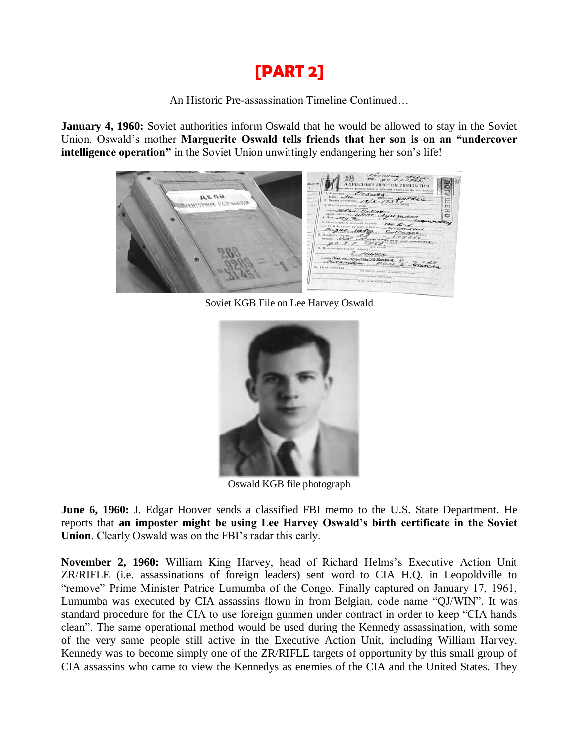## **[PART 2]**

An Historic Pre-assassination Timeline Continued…

**January 4, 1960:** Soviet authorities inform Oswald that he would be allowed to stay in the Soviet Union. Oswald's mother **Marguerite Oswald tells friends that her son is on an "undercover intelligence operation**" in the Soviet Union unwittingly endangering her son's life!



Soviet KGB File on Lee Harvey Oswald



Oswald KGB file photograph

**June 6, 1960:** J. Edgar Hoover sends a classified FBI memo to the U.S. State Department. He reports that **an imposter might be using Lee Harvey Oswald's birth certificate in the Soviet Union**. Clearly Oswald was on the FBI's radar this early.

**November 2, 1960:** William King Harvey, head of Richard Helms's Executive Action Unit ZR/RIFLE (i.e. assassinations of foreign leaders) sent word to CIA H.Q. in Leopoldville to "remove" Prime Minister Patrice Lumumba of the Congo. Finally captured on January 17, 1961, Lumumba was executed by CIA assassins flown in from Belgian, code name "QJ/WIN". It was standard procedure for the CIA to use foreign gunmen under contract in order to keep "CIA hands clean". The same operational method would be used during the Kennedy assassination, with some of the very same people still active in the Executive Action Unit, including William Harvey. Kennedy was to become simply one of the ZR/RIFLE targets of opportunity by this small group of CIA assassins who came to view the Kennedys as enemies of the CIA and the United States. They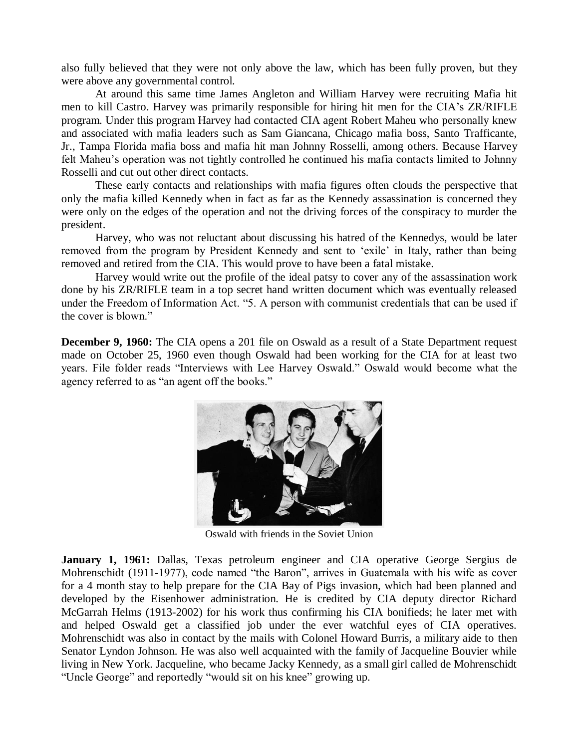also fully believed that they were not only above the law, which has been fully proven, but they were above any governmental control.

At around this same time James Angleton and William Harvey were recruiting Mafia hit men to kill Castro. Harvey was primarily responsible for hiring hit men for the CIA's ZR/RIFLE program. Under this program Harvey had contacted CIA agent Robert Maheu who personally knew and associated with mafia leaders such as Sam Giancana, Chicago mafia boss, Santo Trafficante, Jr., Tampa Florida mafia boss and mafia hit man Johnny Rosselli, among others. Because Harvey felt Maheu's operation was not tightly controlled he continued his mafia contacts limited to Johnny Rosselli and cut out other direct contacts.

These early contacts and relationships with mafia figures often clouds the perspective that only the mafia killed Kennedy when in fact as far as the Kennedy assassination is concerned they were only on the edges of the operation and not the driving forces of the conspiracy to murder the president.

Harvey, who was not reluctant about discussing his hatred of the Kennedys, would be later removed from the program by President Kennedy and sent to 'exile' in Italy, rather than being removed and retired from the CIA. This would prove to have been a fatal mistake.

Harvey would write out the profile of the ideal patsy to cover any of the assassination work done by his ZR/RIFLE team in a top secret hand written document which was eventually released under the Freedom of Information Act. "5. A person with communist credentials that can be used if the cover is blown."

**December 9, 1960:** The CIA opens a 201 file on Oswald as a result of a State Department request made on October 25, 1960 even though Oswald had been working for the CIA for at least two years. File folder reads "Interviews with Lee Harvey Oswald." Oswald would become what the agency referred to as "an agent off the books."



Oswald with friends in the Soviet Union

January 1, 1961: Dallas, Texas petroleum engineer and CIA operative George Sergius de Mohrenschidt (1911-1977), code named "the Baron", arrives in Guatemala with his wife as cover for a 4 month stay to help prepare for the CIA Bay of Pigs invasion, which had been planned and developed by the Eisenhower administration. He is credited by CIA deputy director Richard McGarrah Helms (1913-2002) for his work thus confirming his CIA bonifieds; he later met with and helped Oswald get a classified job under the ever watchful eyes of CIA operatives. Mohrenschidt was also in contact by the mails with Colonel Howard Burris, a military aide to then Senator Lyndon Johnson. He was also well acquainted with the family of Jacqueline Bouvier while living in New York. Jacqueline, who became Jacky Kennedy, as a small girl called de Mohrenschidt "Uncle George" and reportedly "would sit on his knee" growing up.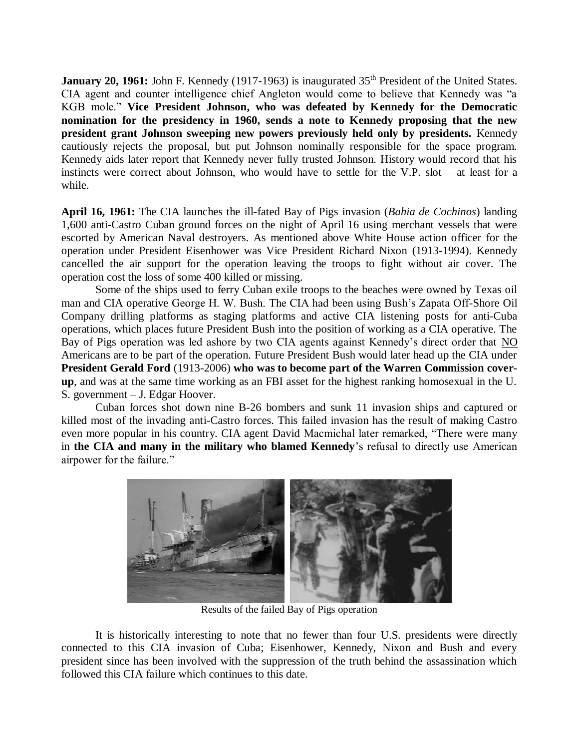**January 20, 1961:** John F. Kennedy (1917-1963) is inaugurated 35<sup>th</sup> President of the United States. CIA agent and counter intelligence chief Angleton would come to believe that Kennedy was "a KGB mole." **Vice President Johnson, who was defeated by Kennedy for the Democratic nomination for the presidency in 1960, sends a note to Kennedy proposing that the new president grant Johnson sweeping new powers previously held only by presidents.** Kennedy cautiously rejects the proposal, but put Johnson nominally responsible for the space program. Kennedy aids later report that Kennedy never fully trusted Johnson. History would record that his instincts were correct about Johnson, who would have to settle for the V.P. slot – at least for a while.

**April 16, 1961:** The CIA launches the ill-fated Bay of Pigs invasion (*Bahia de Cochinos*) landing 1,600 anti-Castro Cuban ground forces on the night of April 16 using merchant vessels that were escorted by American Naval destroyers. As mentioned above White House action officer for the operation under President Eisenhower was Vice President Richard Nixon (1913-1994). Kennedy cancelled the air support for the operation leaving the troops to fight without air cover. The operation cost the loss of some 400 killed or missing.

Some of the ships used to ferry Cuban exile troops to the beaches were owned by Texas oil man and CIA operative George H. W. Bush. The CIA had been using Bush's Zapata Off-Shore Oil Company drilling platforms as staging platforms and active CIA listening posts for anti-Cuba operations, which places future President Bush into the position of working as a CIA operative. The Bay of Pigs operation was led ashore by two CIA agents against Kennedy's direct order that NO Americans are to be part of the operation. Future President Bush would later head up the CIA under **President Gerald Ford** (1913-2006) **who was to become part of the Warren Commission coverup**, and was at the same time working as an FBI asset for the highest ranking homosexual in the U. S. government – J. Edgar Hoover.

Cuban forces shot down nine B-26 bombers and sunk 11 invasion ships and captured or killed most of the invading anti-Castro forces. This failed invasion has the result of making Castro even more popular in his country. CIA agent David Macmichal later remarked, "There were many in **the CIA and many in the military who blamed Kennedy**'s refusal to directly use American airpower for the failure."



Results of the failed Bay of Pigs operation

It is historically interesting to note that no fewer than four U.S. presidents were directly connected to this CIA invasion of Cuba; Eisenhower, Kennedy, Nixon and Bush and every president since has been involved with the suppression of the truth behind the assassination which followed this CIA failure which continues to this date.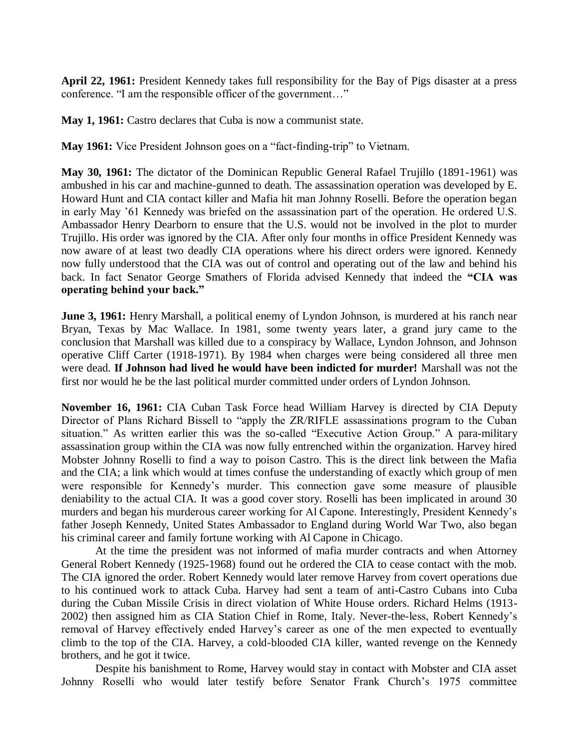**April 22, 1961:** President Kennedy takes full responsibility for the Bay of Pigs disaster at a press conference. "I am the responsible officer of the government…"

**May 1, 1961:** Castro declares that Cuba is now a communist state.

**May 1961:** Vice President Johnson goes on a "fact-finding-trip" to Vietnam.

**May 30, 1961:** The dictator of the Dominican Republic General Rafael Trujillo (1891-1961) was ambushed in his car and machine-gunned to death. The assassination operation was developed by E. Howard Hunt and CIA contact killer and Mafia hit man Johnny Roselli. Before the operation began in early May '61 Kennedy was briefed on the assassination part of the operation. He ordered U.S. Ambassador Henry Dearborn to ensure that the U.S. would not be involved in the plot to murder Trujillo. His order was ignored by the CIA. After only four months in office President Kennedy was now aware of at least two deadly CIA operations where his direct orders were ignored. Kennedy now fully understood that the CIA was out of control and operating out of the law and behind his back. In fact Senator George Smathers of Florida advised Kennedy that indeed the **"CIA was operating behind your back."**

**June 3, 1961:** Henry Marshall, a political enemy of Lyndon Johnson, is murdered at his ranch near Bryan, Texas by Mac Wallace. In 1981, some twenty years later, a grand jury came to the conclusion that Marshall was killed due to a conspiracy by Wallace, Lyndon Johnson, and Johnson operative Cliff Carter (1918-1971). By 1984 when charges were being considered all three men were dead. **If Johnson had lived he would have been indicted for murder!** Marshall was not the first nor would he be the last political murder committed under orders of Lyndon Johnson.

**November 16, 1961:** CIA Cuban Task Force head William Harvey is directed by CIA Deputy Director of Plans Richard Bissell to "apply the ZR/RIFLE assassinations program to the Cuban situation." As written earlier this was the so-called "Executive Action Group." A para-military assassination group within the CIA was now fully entrenched within the organization. Harvey hired Mobster Johnny Roselli to find a way to poison Castro. This is the direct link between the Mafia and the CIA; a link which would at times confuse the understanding of exactly which group of men were responsible for Kennedy's murder. This connection gave some measure of plausible deniability to the actual CIA. It was a good cover story. Roselli has been implicated in around 30 murders and began his murderous career working for Al Capone. Interestingly, President Kennedy's father Joseph Kennedy, United States Ambassador to England during World War Two, also began his criminal career and family fortune working with Al Capone in Chicago.

At the time the president was not informed of mafia murder contracts and when Attorney General Robert Kennedy (1925-1968) found out he ordered the CIA to cease contact with the mob. The CIA ignored the order. Robert Kennedy would later remove Harvey from covert operations due to his continued work to attack Cuba. Harvey had sent a team of anti-Castro Cubans into Cuba during the Cuban Missile Crisis in direct violation of White House orders. Richard Helms (1913- 2002) then assigned him as CIA Station Chief in Rome, Italy. Never-the-less, Robert Kennedy's removal of Harvey effectively ended Harvey's career as one of the men expected to eventually climb to the top of the CIA. Harvey, a cold-blooded CIA killer, wanted revenge on the Kennedy brothers, and he got it twice.

Despite his banishment to Rome, Harvey would stay in contact with Mobster and CIA asset Johnny Roselli who would later testify before Senator Frank Church's 1975 committee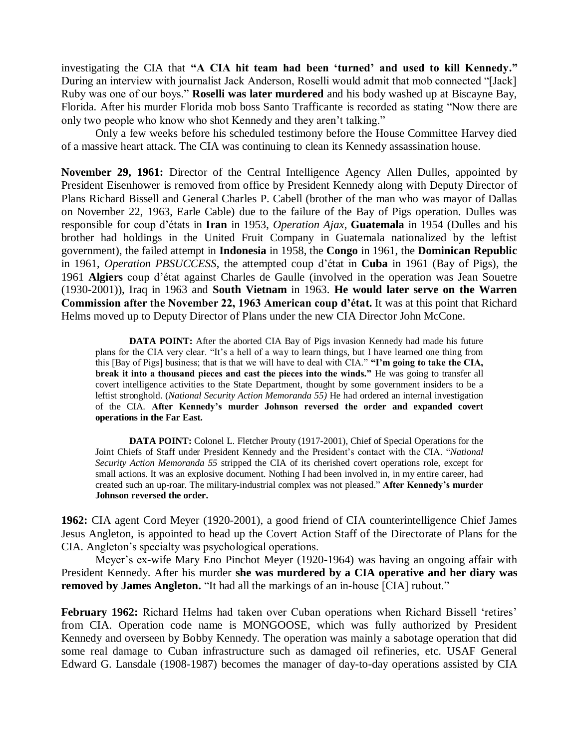investigating the CIA that **"A CIA hit team had been 'turned' and used to kill Kennedy."** During an interview with journalist Jack Anderson, Roselli would admit that mob connected "[Jack] Ruby was one of our boys." **Roselli was later murdered** and his body washed up at Biscayne Bay, Florida. After his murder Florida mob boss Santo Trafficante is recorded as stating "Now there are only two people who know who shot Kennedy and they aren't talking."

Only a few weeks before his scheduled testimony before the House Committee Harvey died of a massive heart attack. The CIA was continuing to clean its Kennedy assassination house.

**November 29, 1961:** Director of the Central Intelligence Agency Allen Dulles, appointed by President Eisenhower is removed from office by President Kennedy along with Deputy Director of Plans Richard Bissell and General Charles P. Cabell (brother of the man who was mayor of Dallas on November 22, 1963, Earle Cable) due to the failure of the Bay of Pigs operation. Dulles was responsible for coup d'états in **Iran** in 1953, *Operation Ajax*, **Guatemala** in 1954 (Dulles and his brother had holdings in the United Fruit Company in Guatemala nationalized by the leftist government), the failed attempt in **Indonesia** in 1958, the **Congo** in 1961, the **Dominican Republic** in 1961, *Operation PBSUCCESS*, the attempted coup d'état in **Cuba** in 1961 (Bay of Pigs), the 1961 **Algiers** coup d'état against Charles de Gaulle (involved in the operation was Jean Souetre (1930-2001)), Iraq in 1963 and **South Vietnam** in 1963. **He would later serve on the Warren Commission after the November 22, 1963 American coup d'état.** It was at this point that Richard Helms moved up to Deputy Director of Plans under the new CIA Director John McCone.

**DATA POINT:** After the aborted CIA Bay of Pigs invasion Kennedy had made his future plans for the CIA very clear. "It's a hell of a way to learn things, but I have learned one thing from this [Bay of Pigs] business; that is that we will have to deal with CIA." **"I'm going to take the CIA, break it into a thousand pieces and cast the pieces into the winds."** He was going to transfer all covert intelligence activities to the State Department, thought by some government insiders to be a leftist stronghold. (*National Security Action Memoranda 55)* He had ordered an internal investigation of the CIA. **After Kennedy's murder Johnson reversed the order and expanded covert operations in the Far East.**

**DATA POINT:** Colonel L. Fletcher Prouty (1917-2001), Chief of Special Operations for the Joint Chiefs of Staff under President Kennedy and the President's contact with the CIA. "*National Security Action Memoranda 55* stripped the CIA of its cherished covert operations role, except for small actions. It was an explosive document. Nothing I had been involved in, in my entire career, had created such an up-roar. The military-industrial complex was not pleased." **After Kennedy's murder Johnson reversed the order.**

**1962:** CIA agent Cord Meyer (1920-2001), a good friend of CIA counterintelligence Chief James Jesus Angleton, is appointed to head up the Covert Action Staff of the Directorate of Plans for the CIA. Angleton's specialty was psychological operations.

Meyer's ex-wife Mary Eno Pinchot Meyer (1920-1964) was having an ongoing affair with President Kennedy. After his murder **she was murdered by a CIA operative and her diary was removed by James Angleton.** "It had all the markings of an in-house [CIA] rubout."

**February 1962:** Richard Helms had taken over Cuban operations when Richard Bissell 'retires' from CIA. Operation code name is MONGOOSE, which was fully authorized by President Kennedy and overseen by Bobby Kennedy. The operation was mainly a sabotage operation that did some real damage to Cuban infrastructure such as damaged oil refineries, etc. USAF General Edward G. Lansdale (1908-1987) becomes the manager of day-to-day operations assisted by CIA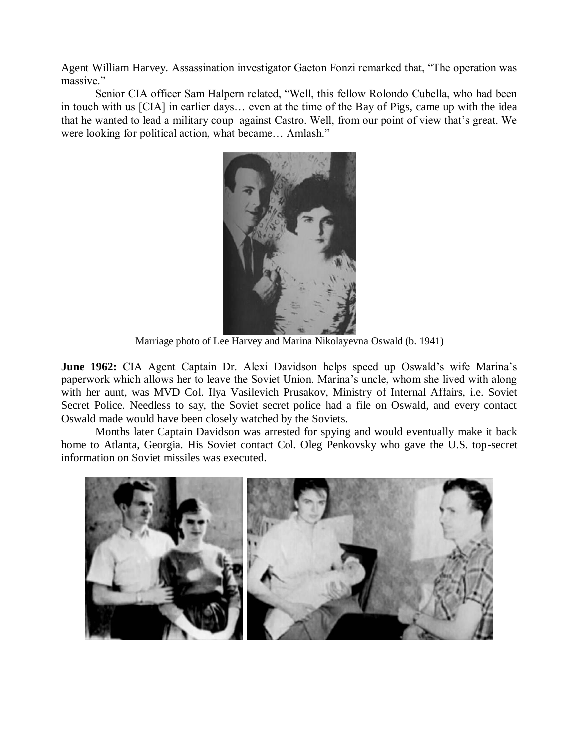Agent William Harvey. Assassination investigator Gaeton Fonzi remarked that, "The operation was massive."

Senior CIA officer Sam Halpern related, "Well, this fellow Rolondo Cubella, who had been in touch with us [CIA] in earlier days… even at the time of the Bay of Pigs, came up with the idea that he wanted to lead a military coup against Castro. Well, from our point of view that's great. We were looking for political action, what became… Amlash."



Marriage photo of Lee Harvey and Marina Nikolayevna Oswald (b. 1941)

**June 1962:** CIA Agent Captain Dr. Alexi Davidson helps speed up Oswald's wife Marina's paperwork which allows her to leave the Soviet Union. Marina's uncle, whom she lived with along with her aunt, was MVD Col. Ilya Vasilevich Prusakov, Ministry of Internal Affairs, i.e. Soviet Secret Police. Needless to say, the Soviet secret police had a file on Oswald, and every contact Oswald made would have been closely watched by the Soviets.

Months later Captain Davidson was arrested for spying and would eventually make it back home to Atlanta, Georgia. His Soviet contact Col. Oleg Penkovsky who gave the U.S. top-secret information on Soviet missiles was executed.

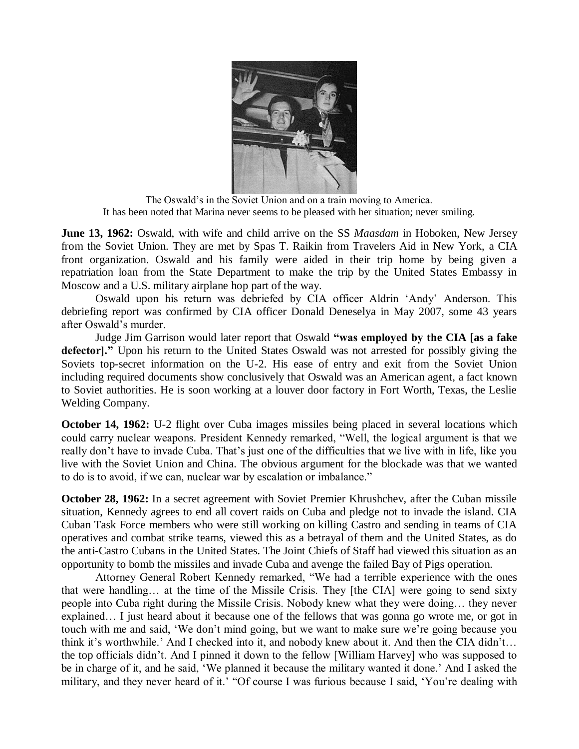

The Oswald's in the Soviet Union and on a train moving to America. It has been noted that Marina never seems to be pleased with her situation; never smiling.

**June 13, 1962:** Oswald, with wife and child arrive on the SS *Maasdam* in Hoboken, New Jersey from the Soviet Union. They are met by Spas T. Raikin from Travelers Aid in New York, a CIA front organization. Oswald and his family were aided in their trip home by being given a repatriation loan from the State Department to make the trip by the United States Embassy in Moscow and a U.S. military airplane hop part of the way.

Oswald upon his return was debriefed by CIA officer Aldrin 'Andy' Anderson. This debriefing report was confirmed by CIA officer Donald Deneselya in May 2007, some 43 years after Oswald's murder.

Judge Jim Garrison would later report that Oswald **"was employed by the CIA [as a fake defector]."** Upon his return to the United States Oswald was not arrested for possibly giving the Soviets top-secret information on the U-2. His ease of entry and exit from the Soviet Union including required documents show conclusively that Oswald was an American agent, a fact known to Soviet authorities. He is soon working at a louver door factory in Fort Worth, Texas, the Leslie Welding Company.

**October 14, 1962:** U-2 flight over Cuba images missiles being placed in several locations which could carry nuclear weapons. President Kennedy remarked, "Well, the logical argument is that we really don't have to invade Cuba. That's just one of the difficulties that we live with in life, like you live with the Soviet Union and China. The obvious argument for the blockade was that we wanted to do is to avoid, if we can, nuclear war by escalation or imbalance."

**October 28, 1962:** In a secret agreement with Soviet Premier Khrushchev, after the Cuban missile situation, Kennedy agrees to end all covert raids on Cuba and pledge not to invade the island. CIA Cuban Task Force members who were still working on killing Castro and sending in teams of CIA operatives and combat strike teams, viewed this as a betrayal of them and the United States, as do the anti-Castro Cubans in the United States. The Joint Chiefs of Staff had viewed this situation as an opportunity to bomb the missiles and invade Cuba and avenge the failed Bay of Pigs operation.

Attorney General Robert Kennedy remarked, "We had a terrible experience with the ones that were handling… at the time of the Missile Crisis. They [the CIA] were going to send sixty people into Cuba right during the Missile Crisis. Nobody knew what they were doing… they never explained… I just heard about it because one of the fellows that was gonna go wrote me, or got in touch with me and said, 'We don't mind going, but we want to make sure we're going because you think it's worthwhile.' And I checked into it, and nobody knew about it. And then the CIA didn't… the top officials didn't. And I pinned it down to the fellow [William Harvey] who was supposed to be in charge of it, and he said, 'We planned it because the military wanted it done.' And I asked the military, and they never heard of it.' "Of course I was furious because I said, 'You're dealing with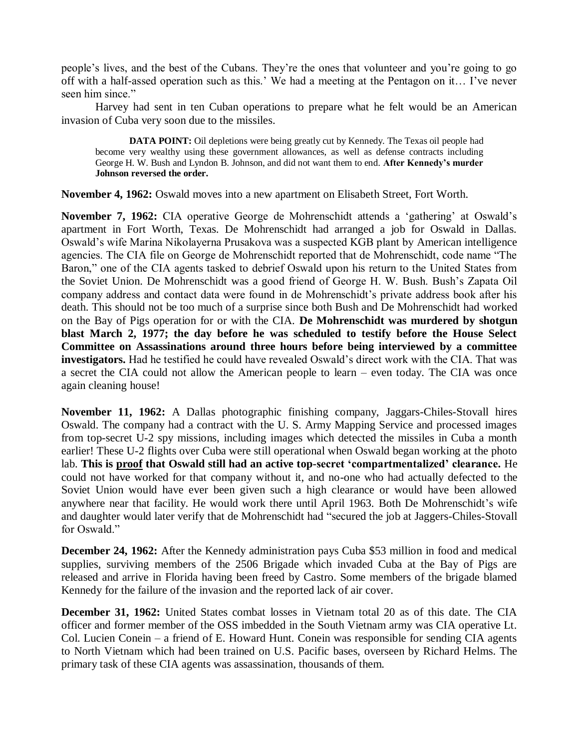people's lives, and the best of the Cubans. They're the ones that volunteer and you're going to go off with a half-assed operation such as this.' We had a meeting at the Pentagon on it… I've never seen him since."

Harvey had sent in ten Cuban operations to prepare what he felt would be an American invasion of Cuba very soon due to the missiles.

**DATA POINT:** Oil depletions were being greatly cut by Kennedy. The Texas oil people had become very wealthy using these government allowances, as well as defense contracts including George H. W. Bush and Lyndon B. Johnson, and did not want them to end. **After Kennedy's murder Johnson reversed the order.**

**November 4, 1962:** Oswald moves into a new apartment on Elisabeth Street, Fort Worth.

**November 7, 1962:** CIA operative George de Mohrenschidt attends a 'gathering' at Oswald's apartment in Fort Worth, Texas. De Mohrenschidt had arranged a job for Oswald in Dallas. Oswald's wife Marina Nikolayerna Prusakova was a suspected KGB plant by American intelligence agencies. The CIA file on George de Mohrenschidt reported that de Mohrenschidt, code name "The Baron," one of the CIA agents tasked to debrief Oswald upon his return to the United States from the Soviet Union. De Mohrenschidt was a good friend of George H. W. Bush. Bush's Zapata Oil company address and contact data were found in de Mohrenschidt's private address book after his death. This should not be too much of a surprise since both Bush and De Mohrenschidt had worked on the Bay of Pigs operation for or with the CIA. **De Mohrenschidt was murdered by shotgun blast March 2, 1977; the day before he was scheduled to testify before the House Select Committee on Assassinations around three hours before being interviewed by a committee investigators.** Had he testified he could have revealed Oswald's direct work with the CIA. That was a secret the CIA could not allow the American people to learn – even today. The CIA was once again cleaning house!

**November 11, 1962:** A Dallas photographic finishing company, Jaggars-Chiles-Stovall hires Oswald. The company had a contract with the U. S. Army Mapping Service and processed images from top-secret U-2 spy missions, including images which detected the missiles in Cuba a month earlier! These U-2 flights over Cuba were still operational when Oswald began working at the photo lab. **This is proof that Oswald still had an active top-secret 'compartmentalized' clearance.** He could not have worked for that company without it, and no-one who had actually defected to the Soviet Union would have ever been given such a high clearance or would have been allowed anywhere near that facility. He would work there until April 1963. Both De Mohrenschidt's wife and daughter would later verify that de Mohrenschidt had "secured the job at Jaggers-Chiles-Stovall for Oswald."

**December 24, 1962:** After the Kennedy administration pays Cuba \$53 million in food and medical supplies, surviving members of the 2506 Brigade which invaded Cuba at the Bay of Pigs are released and arrive in Florida having been freed by Castro. Some members of the brigade blamed Kennedy for the failure of the invasion and the reported lack of air cover.

**December 31, 1962:** United States combat losses in Vietnam total 20 as of this date. The CIA officer and former member of the OSS imbedded in the South Vietnam army was CIA operative Lt. Col. Lucien Conein – a friend of E. Howard Hunt. Conein was responsible for sending CIA agents to North Vietnam which had been trained on U.S. Pacific bases, overseen by Richard Helms. The primary task of these CIA agents was assassination, thousands of them.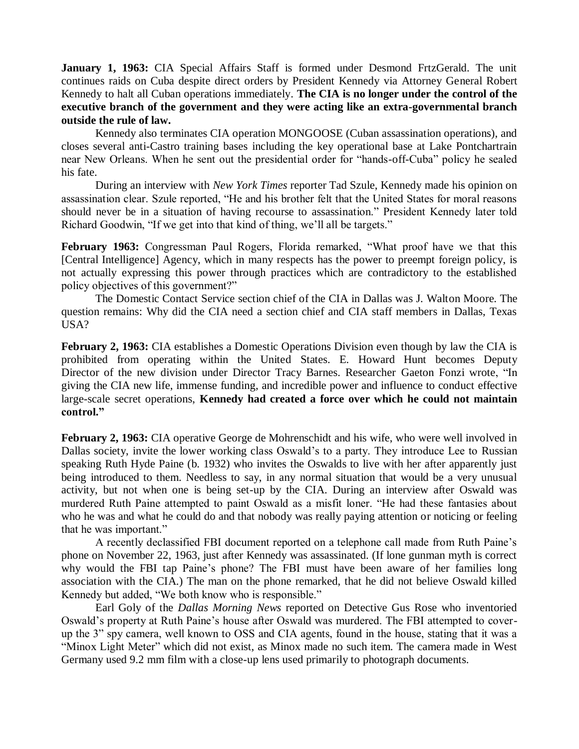**January 1, 1963:** CIA Special Affairs Staff is formed under Desmond FrtzGerald. The unit continues raids on Cuba despite direct orders by President Kennedy via Attorney General Robert Kennedy to halt all Cuban operations immediately. **The CIA is no longer under the control of the executive branch of the government and they were acting like an extra-governmental branch outside the rule of law.** 

Kennedy also terminates CIA operation MONGOOSE (Cuban assassination operations), and closes several anti-Castro training bases including the key operational base at Lake Pontchartrain near New Orleans. When he sent out the presidential order for "hands-off-Cuba" policy he sealed his fate.

During an interview with *New York Times* reporter Tad Szule, Kennedy made his opinion on assassination clear. Szule reported, "He and his brother felt that the United States for moral reasons should never be in a situation of having recourse to assassination." President Kennedy later told Richard Goodwin, "If we get into that kind of thing, we'll all be targets."

**February 1963:** Congressman Paul Rogers, Florida remarked, "What proof have we that this [Central Intelligence] Agency, which in many respects has the power to preempt foreign policy, is not actually expressing this power through practices which are contradictory to the established policy objectives of this government?"

The Domestic Contact Service section chief of the CIA in Dallas was J. Walton Moore. The question remains: Why did the CIA need a section chief and CIA staff members in Dallas, Texas USA?

**February 2, 1963:** CIA establishes a Domestic Operations Division even though by law the CIA is prohibited from operating within the United States. E. Howard Hunt becomes Deputy Director of the new division under Director Tracy Barnes. Researcher Gaeton Fonzi wrote, "In giving the CIA new life, immense funding, and incredible power and influence to conduct effective large-scale secret operations, **Kennedy had created a force over which he could not maintain control."**

**February 2, 1963:** CIA operative George de Mohrenschidt and his wife, who were well involved in Dallas society, invite the lower working class Oswald's to a party. They introduce Lee to Russian speaking Ruth Hyde Paine (b. 1932) who invites the Oswalds to live with her after apparently just being introduced to them. Needless to say, in any normal situation that would be a very unusual activity, but not when one is being set-up by the CIA. During an interview after Oswald was murdered Ruth Paine attempted to paint Oswald as a misfit loner. "He had these fantasies about who he was and what he could do and that nobody was really paying attention or noticing or feeling that he was important."

A recently declassified FBI document reported on a telephone call made from Ruth Paine's phone on November 22, 1963, just after Kennedy was assassinated. (If lone gunman myth is correct why would the FBI tap Paine's phone? The FBI must have been aware of her families long association with the CIA.) The man on the phone remarked, that he did not believe Oswald killed Kennedy but added, "We both know who is responsible."

Earl Goly of the *Dallas Morning News* reported on Detective Gus Rose who inventoried Oswald's property at Ruth Paine's house after Oswald was murdered. The FBI attempted to coverup the 3" spy camera, well known to OSS and CIA agents, found in the house, stating that it was a "Minox Light Meter" which did not exist, as Minox made no such item. The camera made in West Germany used 9.2 mm film with a close-up lens used primarily to photograph documents.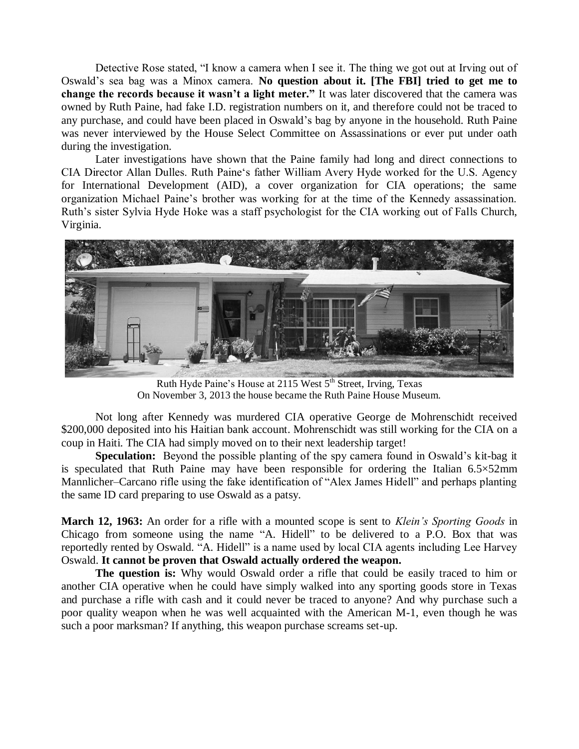Detective Rose stated, "I know a camera when I see it. The thing we got out at Irving out of Oswald's sea bag was a Minox camera. **No question about it. [The FBI] tried to get me to change the records because it wasn't a light meter."** It was later discovered that the camera was owned by Ruth Paine, had fake I.D. registration numbers on it, and therefore could not be traced to any purchase, and could have been placed in Oswald's bag by anyone in the household. Ruth Paine was never interviewed by the House Select Committee on Assassinations or ever put under oath during the investigation.

Later investigations have shown that the Paine family had long and direct connections to CIA Director Allan Dulles. Ruth Paine's father William Avery Hyde worked for the U.S. Agency for International Development (AID), a cover organization for CIA operations; the same organization Michael Paine's brother was working for at the time of the Kennedy assassination. Ruth's sister Sylvia Hyde Hoke was a staff psychologist for the CIA working out of Falls Church, Virginia.



Ruth Hyde Paine's House at 2115 West 5<sup>th</sup> Street, Irving, Texas On November 3, 2013 the house became the Ruth Paine House Museum.

Not long after Kennedy was murdered CIA operative George de Mohrenschidt received \$200,000 deposited into his Haitian bank account. Mohrenschidt was still working for the CIA on a coup in Haiti. The CIA had simply moved on to their next leadership target!

**Speculation:** Beyond the possible planting of the spy camera found in Oswald's kit-bag it is speculated that Ruth Paine may have been responsible for ordering the Italian  $6.5 \times 52$ mm Mannlicher–Carcano rifle using the fake identification of "Alex James Hidell" and perhaps planting the same ID card preparing to use Oswald as a patsy.

**March 12, 1963:** An order for a rifle with a mounted scope is sent to *Klein's Sporting Goods* in Chicago from someone using the name "A. Hidell" to be delivered to a P.O. Box that was reportedly rented by Oswald. "A. Hidell" is a name used by local CIA agents including Lee Harvey Oswald. **It cannot be proven that Oswald actually ordered the weapon.** 

**The question is:** Why would Oswald order a rifle that could be easily traced to him or another CIA operative when he could have simply walked into any sporting goods store in Texas and purchase a rifle with cash and it could never be traced to anyone? And why purchase such a poor quality weapon when he was well acquainted with the American M-1, even though he was such a poor marksman? If anything, this weapon purchase screams set-up.